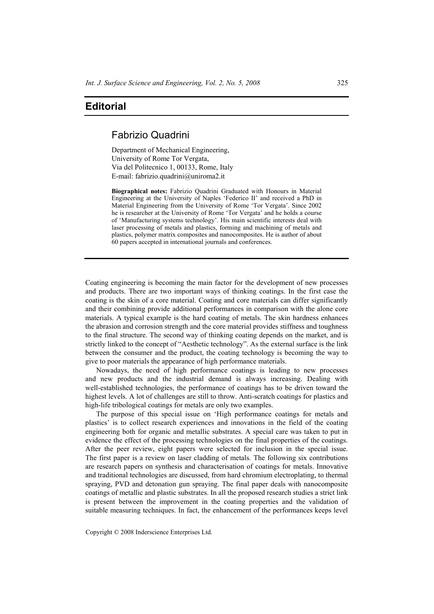## **Editorial**

## Fabrizio Quadrini

Department of Mechanical Engineering, University of Rome Tor Vergata, Via del Politecnico 1, 00133, Rome, Italy E-mail: fabrizio.quadrini@uniroma2.it

**Biographical notes:** Fabrizio Quadrini Graduated with Honours in Material Engineering at the University of Naples 'Federico II' and received a PhD in Material Engineering from the University of Rome 'Tor Vergata'. Since 2002 he is researcher at the University of Rome 'Tor Vergata' and he holds a course of 'Manufacturing systems technology'. His main scientific interests deal with laser processing of metals and plastics, forming and machining of metals and plastics, polymer matrix composites and nanocomposites. He is author of about 60 papers accepted in international journals and conferences.

Coating engineering is becoming the main factor for the development of new processes and products. There are two important ways of thinking coatings. In the first case the coating is the skin of a core material. Coating and core materials can differ significantly and their combining provide additional performances in comparison with the alone core materials. A typical example is the hard coating of metals. The skin hardness enhances the abrasion and corrosion strength and the core material provides stiffness and toughness to the final structure. The second way of thinking coating depends on the market, and is strictly linked to the concept of "Aesthetic technology". As the external surface is the link between the consumer and the product, the coating technology is becoming the way to give to poor materials the appearance of high performance materials.

Nowadays, the need of high performance coatings is leading to new processes and new products and the industrial demand is always increasing. Dealing with well-established technologies, the performance of coatings has to be driven toward the highest levels. A lot of challenges are still to throw. Anti-scratch coatings for plastics and high-life tribological coatings for metals are only two examples.

The purpose of this special issue on 'High performance coatings for metals and plastics' is to collect research experiences and innovations in the field of the coating engineering both for organic and metallic substrates. A special care was taken to put in evidence the effect of the processing technologies on the final properties of the coatings. After the peer review, eight papers were selected for inclusion in the special issue. The first paper is a review on laser cladding of metals. The following six contributions are research papers on synthesis and characterisation of coatings for metals. Innovative and traditional technologies are discussed, from hard chromium electroplating, to thermal spraying, PVD and detonation gun spraying. The final paper deals with nanocomposite coatings of metallic and plastic substrates. In all the proposed research studies a strict link is present between the improvement in the coating properties and the validation of suitable measuring techniques. In fact, the enhancement of the performances keeps level

Copyright © 2008 Inderscience Enterprises Ltd.